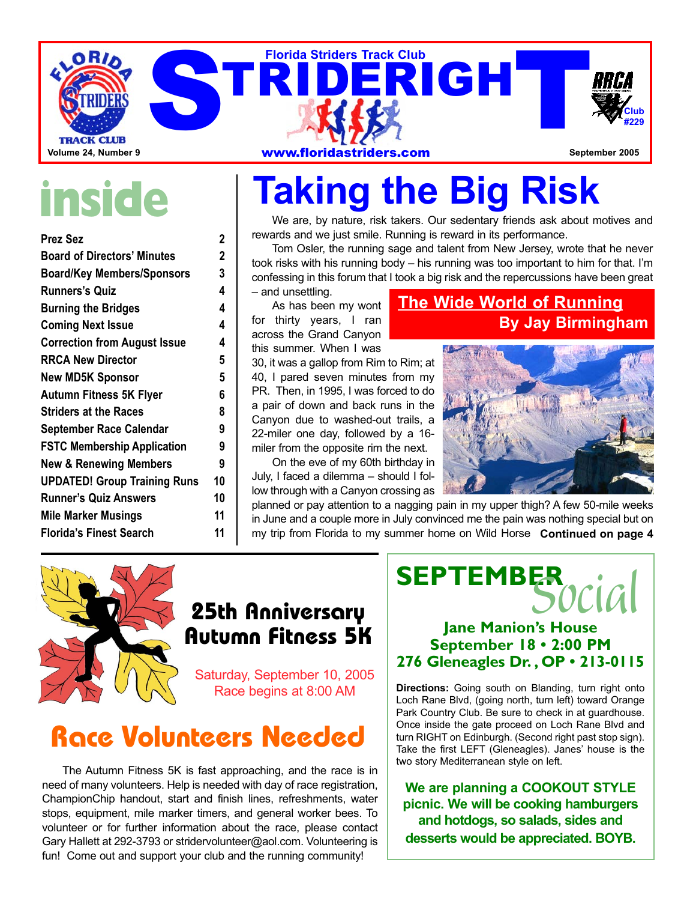

# **inside**

| <b>Prez Sez</b>                     | 2  |
|-------------------------------------|----|
| <b>Board of Directors' Minutes</b>  | 2  |
| <b>Board/Key Members/Sponsors</b>   | 3  |
| <b>Runners's Quiz</b>               | 4  |
| <b>Burning the Bridges</b>          | 4  |
| <b>Coming Next Issue</b>            | 4  |
| <b>Correction from August Issue</b> | 4  |
| <b>RRCA New Director</b>            | 5  |
| <b>New MD5K Sponsor</b>             | 5  |
| Autumn Fitness 5K Flyer             | 6  |
| <b>Striders at the Races</b>        | 8  |
| September Race Calendar             | 9  |
| <b>FSTC Membership Application</b>  | 9  |
| <b>New &amp; Renewing Members</b>   | 9  |
| <b>UPDATED! Group Training Runs</b> | 10 |
| <b>Runner's Quiz Answers</b>        | 10 |
| <b>Mile Marker Musings</b>          | 11 |
| <b>Florida's Finest Search</b>      | 11 |

# **Taking the Big Risk**

We are, by nature, risk takers. Our sedentary friends ask about motives and rewards and we just smile. Running is reward in its performance.

Tom Osler, the running sage and talent from New Jersey, wrote that he never took risks with his running body – his running was too important to him for that. I'm confessing in this forum that I took a big risk and the repercussions have been great – and unsettling.

As has been my wont for thirty years, I ran across the Grand Canyon this summer. When I was

30, it was a gallop from Rim to Rim; at 40, I pared seven minutes from my PR. Then, in 1995, I was forced to do a pair of down and back runs in the Canyon due to washed-out trails, a 22-miler one day, followed by a 16 miler from the opposite rim the next.

On the eve of my 60th birthday in July, I faced a dilemma – should I follow through with a Canyon crossing as

### **The Wide World of Running By Jay Birmingham**



planned or pay attention to a nagging pain in my upper thigh? A few 50-mile weeks in June and a couple more in July convinced me the pain was nothing special but on my trip from Florida to my summer home on Wild Horse **Continued on page 4**



### **25th Anniversary Autumn Fitness 5K**

Saturday, September 10, 2005 Race begins at 8:00 AM

### **Race Volunteers Needed**

The Autumn Fitness 5K is fast approaching, and the race is in need of many volunteers. Help is needed with day of race registration, ChampionChip handout, start and finish lines, refreshments, water stops, equipment, mile marker timers, and general worker bees. To volunteer or for further information about the race, please contact Gary Hallett at 292-3793 or stridervolunteer@aol.com. Volunteering is fun! Come out and support your club and the running community!

# **SEPTEMBER***Social*

### **Jane Manion's House September 18 • 2:00 PM 276 Gleneagles Dr. , OP • 213-0115**

**Directions:** Going south on Blanding, turn right onto Loch Rane Blvd, (going north, turn left) toward Orange Park Country Club. Be sure to check in at guardhouse. Once inside the gate proceed on Loch Rane Blvd and turn RIGHT on Edinburgh. (Second right past stop sign). Take the first LEFT (Gleneagles). Janes' house is the two story Mediterranean style on left.

**We are planning a COOKOUT STYLE picnic. We will be cooking hamburgers and hotdogs, so salads, sides and desserts would be appreciated. BOYB.**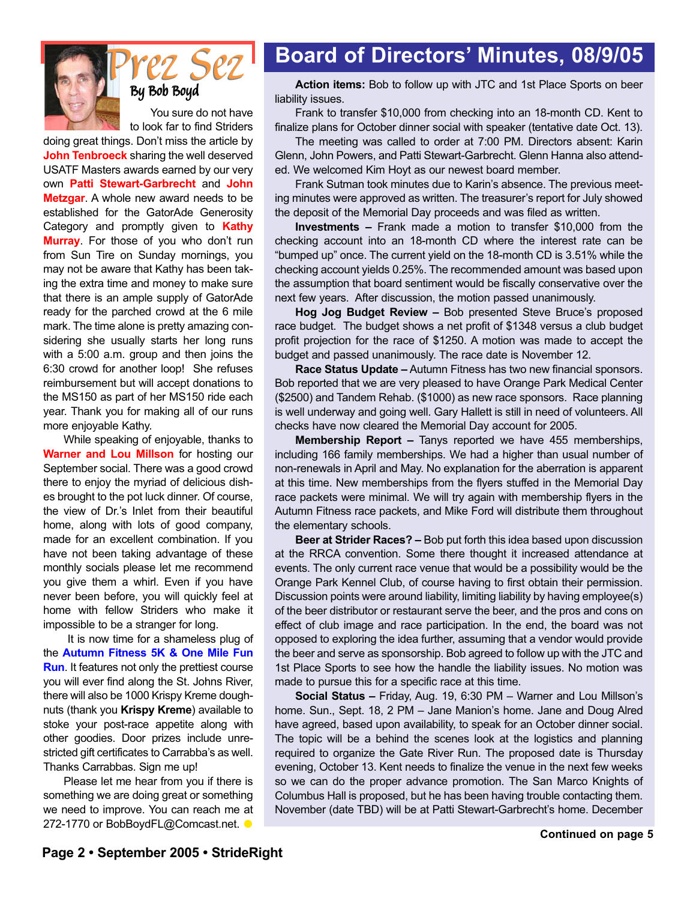

# *Prez Sez Prez Sez*

You sure do not have to look far to find Striders

doing great things. Don't miss the article by **John Tenbroeck** sharing the well deserved USATF Masters awards earned by our very own **Patti Stewart-Garbrecht** and **John Metzgar**. A whole new award needs to be established for the GatorAde Generosity Category and promptly given to **Kathy Murray**. For those of you who don't run from Sun Tire on Sunday mornings, you may not be aware that Kathy has been taking the extra time and money to make sure that there is an ample supply of GatorAde ready for the parched crowd at the 6 mile mark. The time alone is pretty amazing considering she usually starts her long runs with a 5:00 a.m. group and then joins the 6:30 crowd for another loop! She refuses reimbursement but will accept donations to the MS150 as part of her MS150 ride each year. Thank you for making all of our runs more enjoyable Kathy.

While speaking of enjoyable, thanks to **Warner and Lou Millson** for hosting our September social. There was a good crowd there to enjoy the myriad of delicious dishes brought to the pot luck dinner. Of course, the view of Dr.'s Inlet from their beautiful home, along with lots of good company, made for an excellent combination. If you have not been taking advantage of these monthly socials please let me recommend you give them a whirl. Even if you have never been before, you will quickly feel at home with fellow Striders who make it impossible to be a stranger for long.

It is now time for a shameless plug of the **Autumn Fitness 5K & One Mile Fun Run**. It features not only the prettiest course you will ever find along the St. Johns River, there will also be 1000 Krispy Kreme doughnuts (thank you **Krispy Kreme**) available to stoke your post-race appetite along with other goodies. Door prizes include unrestricted gift certificates to Carrabba's as well. Thanks Carrabbas. Sign me up!

Please let me hear from you if there is something we are doing great or something we need to improve. You can reach me at 272-1770 or BobBoydFL@Comcast.net. ●

### **Board of Directors' Minutes, 08/9/05**

**By** Bob Boyd<br> **Action items:** Bob to follow up with JTC and 1st Place Sports on beer liability issues.

> Frank to transfer \$10,000 from checking into an 18-month CD. Kent to finalize plans for October dinner social with speaker (tentative date Oct. 13).

> The meeting was called to order at 7:00 PM. Directors absent: Karin Glenn, John Powers, and Patti Stewart-Garbrecht. Glenn Hanna also attended. We welcomed Kim Hoyt as our newest board member.

> Frank Sutman took minutes due to Karin's absence. The previous meeting minutes were approved as written. The treasurer's report for July showed the deposit of the Memorial Day proceeds and was filed as written.

> **Investments –** Frank made a motion to transfer \$10,000 from the checking account into an 18-month CD where the interest rate can be "bumped up" once. The current yield on the 18-month CD is 3.51% while the checking account yields 0.25%. The recommended amount was based upon the assumption that board sentiment would be fiscally conservative over the next few years. After discussion, the motion passed unanimously.

> **Hog Jog Budget Review –** Bob presented Steve Bruce's proposed race budget. The budget shows a net profit of \$1348 versus a club budget profit projection for the race of \$1250. A motion was made to accept the budget and passed unanimously. The race date is November 12.

> **Race Status Update –** Autumn Fitness has two new financial sponsors. Bob reported that we are very pleased to have Orange Park Medical Center (\$2500) and Tandem Rehab. (\$1000) as new race sponsors. Race planning is well underway and going well. Gary Hallett is still in need of volunteers. All checks have now cleared the Memorial Day account for 2005.

> **Membership Report –** Tanys reported we have 455 memberships, including 166 family memberships. We had a higher than usual number of non-renewals in April and May. No explanation for the aberration is apparent at this time. New memberships from the flyers stuffed in the Memorial Day race packets were minimal. We will try again with membership flyers in the Autumn Fitness race packets, and Mike Ford will distribute them throughout the elementary schools.

> **Beer at Strider Races? –** Bob put forth this idea based upon discussion at the RRCA convention. Some there thought it increased attendance at events. The only current race venue that would be a possibility would be the Orange Park Kennel Club, of course having to first obtain their permission. Discussion points were around liability, limiting liability by having employee(s) of the beer distributor or restaurant serve the beer, and the pros and cons on effect of club image and race participation. In the end, the board was not opposed to exploring the idea further, assuming that a vendor would provide the beer and serve as sponsorship. Bob agreed to follow up with the JTC and 1st Place Sports to see how the handle the liability issues. No motion was made to pursue this for a specific race at this time.

> **Social Status –** Friday, Aug. 19, 6:30 PM – Warner and Lou Millson's home. Sun., Sept. 18, 2 PM – Jane Manion's home. Jane and Doug Alred have agreed, based upon availability, to speak for an October dinner social. The topic will be a behind the scenes look at the logistics and planning required to organize the Gate River Run. The proposed date is Thursday evening, October 13. Kent needs to finalize the venue in the next few weeks so we can do the proper advance promotion. The San Marco Knights of Columbus Hall is proposed, but he has been having trouble contacting them. November (date TBD) will be at Patti Stewart-Garbrecht's home. December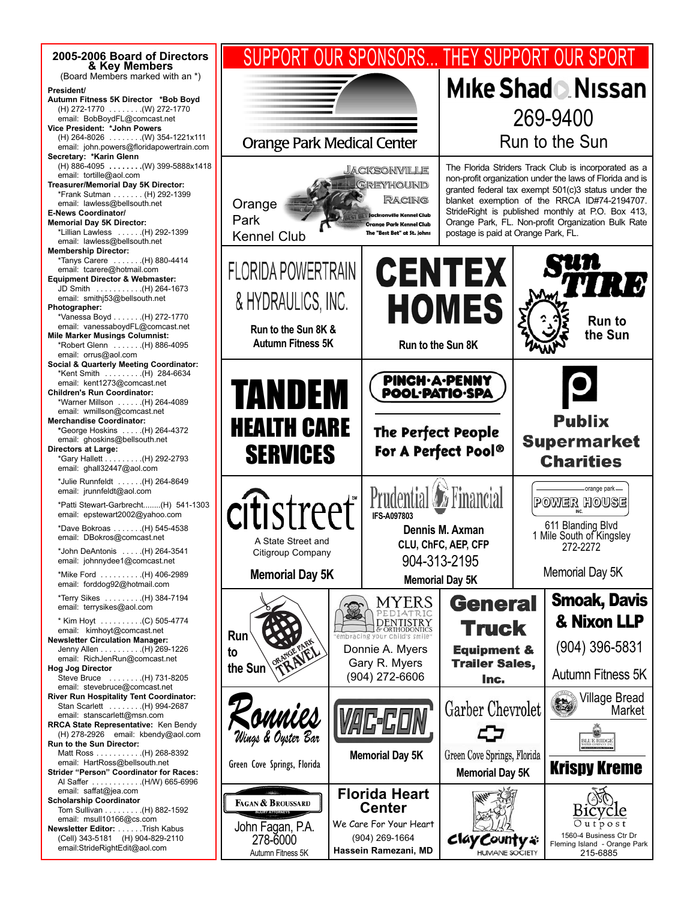

#### **Mike Shad & Nissan** 269-9400 Run to the Sun The Florida Striders Track Club is incorporated as a non-profit organization under the laws of Florida and is granted federal tax exempt 501(c)3 status under the blanket exemption of the RRCA ID#74-2194707. StrideRight is published monthly at P.O. Box 413, ville Kennel Club Orange Park, FL. Non-profit Organization Bulk Rate .<br>Orange Park Kennel Club postage is paid at Orange Park, FL. **CENTEX HOMES Run to the Sun** Autumn Fitness 5K Run to the Sun 8K **PINCH-A-PENNY** POOL·PATIO·SPA **Publix The Perfect People Supermarket** For A Perfect Pool® **Charities** orange park **Prudential** *D* Financial POWER HOUSE 611 Blanding Blvd **Dennis M. Axman** 1 Mile South of Kingsley **CLU, ChFC, AEP, CFP** 272-2272 904-313-2195 **Memorial Day 5K** Memorial Day 5K Smoak, Davis **General** MYERS & Nixon LLP **DENTISTRY Truck** (904) 396-5831 **Equipment & Trailer Sales,** Autumn Fitness 5K Inc. Village Bread Garber Chevrolet  $\epsilon$ Market BLUE RIDGE Green Cove Springs, Florida Krispy Kreme **Memorial Day 5K Florida Heart** Bičyčle We Care For Your Heart  $Outpos$ 1560-4 Business Ctr Dr clay County \* Fleming Island - Orange Park

215-6885

HUMANE SO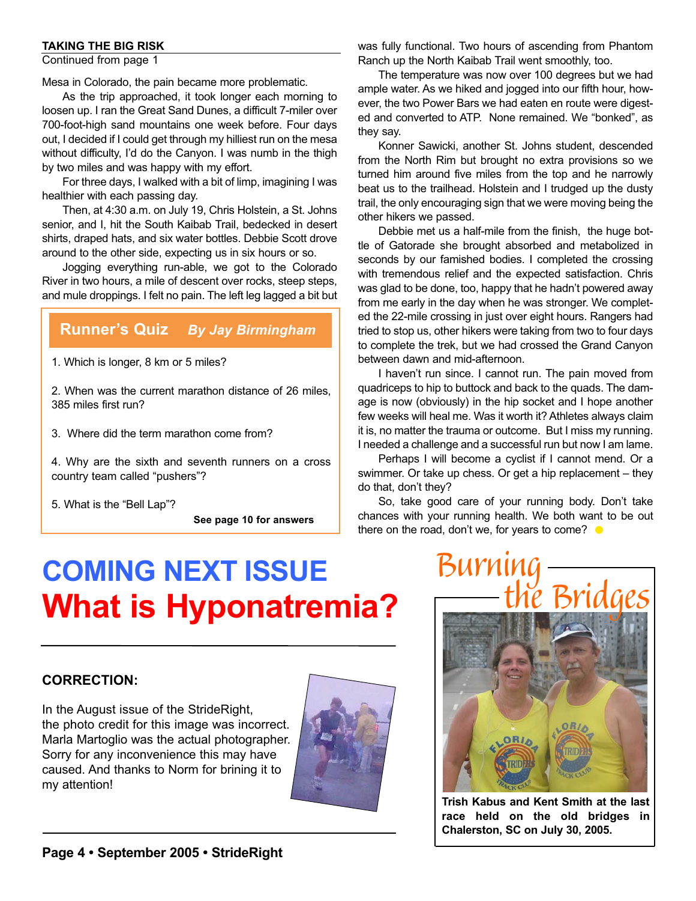#### **TAKING THE BIG RISK**

Continued from page 1

Mesa in Colorado, the pain became more problematic.

As the trip approached, it took longer each morning to loosen up. I ran the Great Sand Dunes, a difficult 7-miler over 700-foot-high sand mountains one week before. Four days out, I decided if I could get through my hilliest run on the mesa without difficulty, I'd do the Canyon. I was numb in the thigh by two miles and was happy with my effort.

For three days, I walked with a bit of limp, imagining I was healthier with each passing day.

Then, at 4:30 a.m. on July 19, Chris Holstein, a St. Johns senior, and I, hit the South Kaibab Trail, bedecked in desert shirts, draped hats, and six water bottles. Debbie Scott drove around to the other side, expecting us in six hours or so.

Jogging everything run-able, we got to the Colorado River in two hours, a mile of descent over rocks, steep steps, and mule droppings. I felt no pain. The left leg lagged a bit but

### **Runner's Quiz** *By Jay Birmingham*

1. Which is longer, 8 km or 5 miles?

2. When was the current marathon distance of 26 miles, 385 miles first run?

3. Where did the term marathon come from?

4. Why are the sixth and seventh runners on a cross country team called "pushers"?

5. What is the "Bell Lap"?

**See page 10 for answers**

#### was fully functional. Two hours of ascending from Phantom Ranch up the North Kaibab Trail went smoothly, too.

The temperature was now over 100 degrees but we had ample water. As we hiked and jogged into our fifth hour, however, the two Power Bars we had eaten en route were digested and converted to ATP. None remained. We "bonked", as they say.

Konner Sawicki, another St. Johns student, descended from the North Rim but brought no extra provisions so we turned him around five miles from the top and he narrowly beat us to the trailhead. Holstein and I trudged up the dusty trail, the only encouraging sign that we were moving being the other hikers we passed.

Debbie met us a half-mile from the finish, the huge bottle of Gatorade she brought absorbed and metabolized in seconds by our famished bodies. I completed the crossing with tremendous relief and the expected satisfaction. Chris was glad to be done, too, happy that he hadn't powered away from me early in the day when he was stronger. We completed the 22-mile crossing in just over eight hours. Rangers had tried to stop us, other hikers were taking from two to four days to complete the trek, but we had crossed the Grand Canyon between dawn and mid-afternoon.

I haven't run since. I cannot run. The pain moved from quadriceps to hip to buttock and back to the quads. The damage is now (obviously) in the hip socket and I hope another few weeks will heal me. Was it worth it? Athletes always claim it is, no matter the trauma or outcome. But I miss my running. I needed a challenge and a successful run but now I am lame.

Perhaps I will become a cyclist if I cannot mend. Or a swimmer. Or take up chess. Or get a hip replacement – they do that, don't they?

So, take good care of your running body. Don't take chances with your running health. We both want to be out there on the road, don't we, for years to come?  $\bullet$ 

### **CORRECTION:**

In the August issue of the StrideRight, the photo credit for this image was incorrect. Marla Martoglio was the actual photographer. Sorry for any inconvenience this may have caused. And thanks to Norm for brining it to my attention!





**Trish Kabus and Kent Smith at the last race held on the old bridges in Chalerston, SC on July 30, 2005.**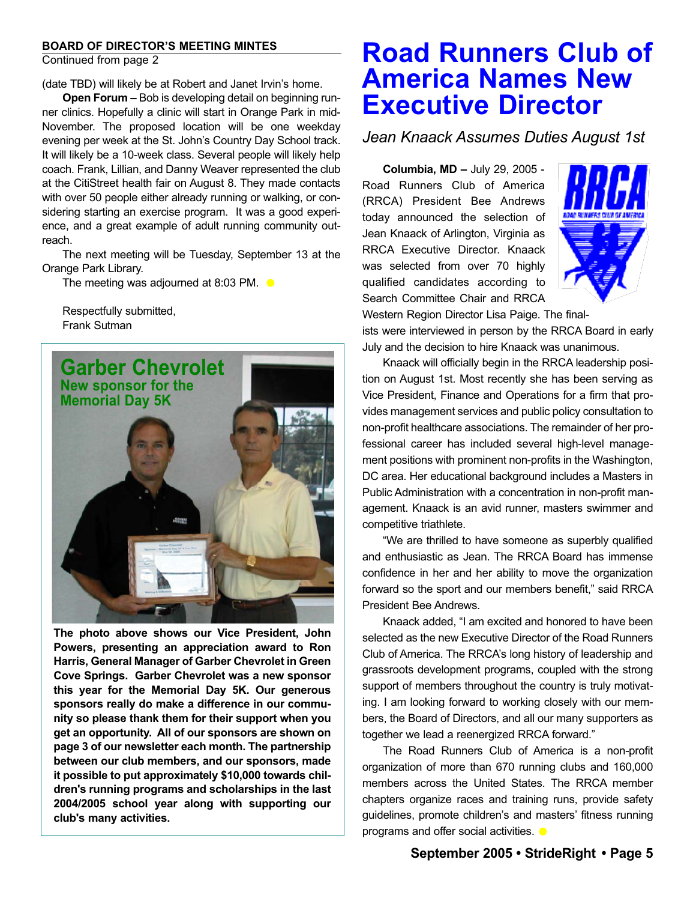#### **BOARD OF DIRECTOR'S MEETING MINTES**

Continued from page 2

(date TBD) will likely be at Robert and Janet Irvin's home.

**Open Forum –** Bob is developing detail on beginning runner clinics. Hopefully a clinic will start in Orange Park in mid-November. The proposed location will be one weekday evening per week at the St. John's Country Day School track. It will likely be a 10-week class. Several people will likely help coach. Frank, Lillian, and Danny Weaver represented the club at the CitiStreet health fair on August 8. They made contacts with over 50 people either already running or walking, or considering starting an exercise program. It was a good experience, and a great example of adult running community outreach.

The next meeting will be Tuesday, September 13 at the Orange Park Library.

The meeting was adjourned at 8:03 PM.  $\bullet$ 

Respectfully submitted, Frank Sutman



**The photo above shows our Vice President, John Powers, presenting an appreciation award to Ron Harris, General Manager of Garber Chevrolet in Green Cove Springs. Garber Chevrolet was a new sponsor this year for the Memorial Day 5K. Our generous sponsors really do make a difference in our community so please thank them for their support when you get an opportunity. All of our sponsors are shown on page 3 of our newsletter each month. The partnership between our club members, and our sponsors, made it possible to put approximately \$10,000 towards children's running programs and scholarships in the last 2004/2005 school year along with supporting our club's many activities.**

### **Road Runners Club of America Names New Executive Director**

### *Jean Knaack Assumes Duties August 1st*

**Columbia, MD –** July 29, 2005 - Road Runners Club of America (RRCA) President Bee Andrews today announced the selection of Jean Knaack of Arlington, Virginia as RRCA Executive Director. Knaack was selected from over 70 highly qualified candidates according to Search Committee Chair and RRCA



Western Region Director Lisa Paige. The finalists were interviewed in person by the RRCA Board in early July and the decision to hire Knaack was unanimous.

Knaack will officially begin in the RRCA leadership position on August 1st. Most recently she has been serving as Vice President, Finance and Operations for a firm that provides management services and public policy consultation to non-profit healthcare associations. The remainder of her professional career has included several high-level management positions with prominent non-profits in the Washington, DC area. Her educational background includes a Masters in Public Administration with a concentration in non-profit management. Knaack is an avid runner, masters swimmer and competitive triathlete.

"We are thrilled to have someone as superbly qualified and enthusiastic as Jean. The RRCA Board has immense confidence in her and her ability to move the organization forward so the sport and our members benefit," said RRCA President Bee Andrews.

Knaack added, "I am excited and honored to have been selected as the new Executive Director of the Road Runners Club of America. The RRCA's long history of leadership and grassroots development programs, coupled with the strong support of members throughout the country is truly motivating. I am looking forward to working closely with our members, the Board of Directors, and all our many supporters as together we lead a reenergized RRCA forward."

The Road Runners Club of America is a non-profit organization of more than 670 running clubs and 160,000 members across the United States. The RRCA member chapters organize races and training runs, provide safety guidelines, promote children's and masters' fitness running programs and offer social activities.  $\bullet$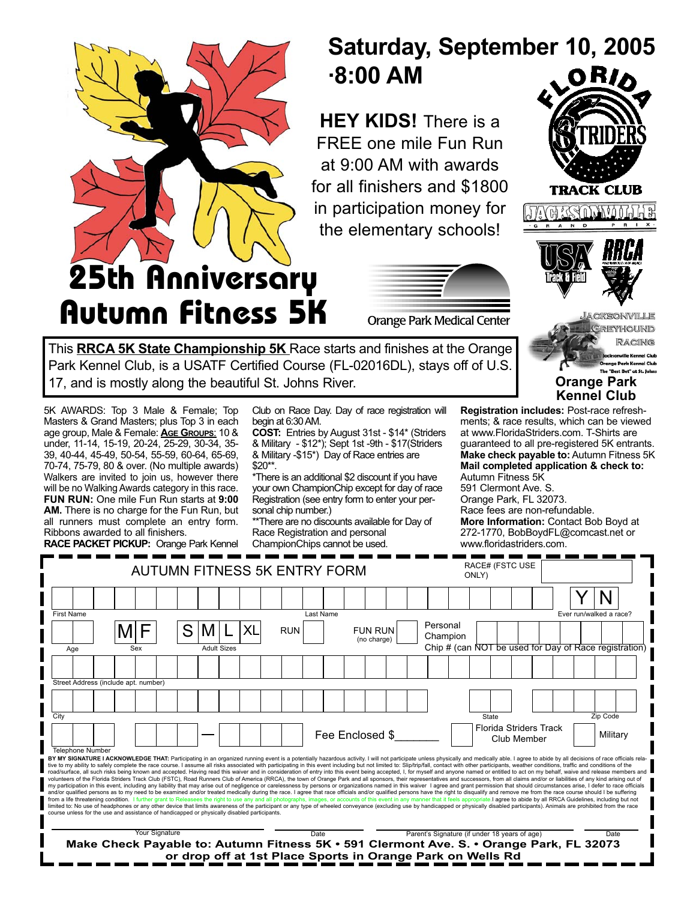

**Autumn Fitness 5K**

### **Saturday, September 10, 2005 ·8:00 AM**

**HEY KIDS!** There is a FREE one mile Fun Run at 9:00 AM with awards for all finishers and \$1800 in participation money for the elementary schools!



**Orange Park Kennel Club**

GREYHOUND RACING **Kennel Club** ge Park Kennel Club The "Best Bet" at St. Johns

**Orange Park Medical Center** 

This **RRCA 5K State Championship 5K** Race starts and finishes at the Orange Park Kennel Club, is a USATF Certified Course (FL-02016DL), stays off of U.S. 17, and is mostly along the beautiful St. Johns River.

5K AWARDS: Top 3 Male & Female; Top Masters & Grand Masters; plus Top 3 in each age group, Male & Female: **AGE GROUPS**: 10 & under, 11-14, 15-19, 20-24, 25-29, 30-34, 35- 39, 40-44, 45-49, 50-54, 55-59, 60-64, 65-69, 70-74, 75-79, 80 & over. (No multiple awards) Walkers are invited to join us, however there will be no Walking Awards category in this race. **FUN RUN:** One mile Fun Run starts at **9:00 AM.** There is no charge for the Fun Run, but all runners must complete an entry form. Ribbons awarded to all finishers.

**RACE PACKET PICKUP:** Orange Park Kennel

Club on Race Day. Day of race registration will begin at 6:30 AM.

**COST:** Entries by August 31st - \$14\* (Striders & Military - \$12\*); Sept 1st -9th - \$17(Striders & Military -\$15<sup>\*</sup>) Day of Race entries are \$20\*\*.

\*There is an additional \$2 discount if you have your own ChampionChip except for day of race Registration (see entry form to enter your personal chip number.)

\*\*There are no discounts available for Day of Race Registration and personal ChampionChips cannot be used.

**Registration includes:** Post-race refreshments; & race results, which can be viewed at www.FloridaStriders.com. T-Shirts are guaranteed to all pre-registered 5K entrants. **Make check payable to:** Autumn Fitness 5K **Mail completed application & check to:**  Autumn Fitness 5K

591 Clermont Ave. S. Orange Park, FL 32073. Race fees are non-refundable. **More Information:** Contact Bob Boyd at 272-1770, BobBoydFL@comcast.net or www.floridastriders.com.

|                                                                                                                                                                                                                                                                                                                                                                                                                                                                                                                                                                                                                                                                                                                                                                                                                                                                                                                                                                                                                                                                                                                                                                                                                                                                                                                                                                                                                                                                                                                                                                                                                                                                                                                                                                                                                                                                                                                                                                             | <b>AUTUMN FITNESS 5K ENTRY FORM</b> | <b>RACE# (FSTC USE</b><br>ONLY)                            |                                                                                         |                         |
|-----------------------------------------------------------------------------------------------------------------------------------------------------------------------------------------------------------------------------------------------------------------------------------------------------------------------------------------------------------------------------------------------------------------------------------------------------------------------------------------------------------------------------------------------------------------------------------------------------------------------------------------------------------------------------------------------------------------------------------------------------------------------------------------------------------------------------------------------------------------------------------------------------------------------------------------------------------------------------------------------------------------------------------------------------------------------------------------------------------------------------------------------------------------------------------------------------------------------------------------------------------------------------------------------------------------------------------------------------------------------------------------------------------------------------------------------------------------------------------------------------------------------------------------------------------------------------------------------------------------------------------------------------------------------------------------------------------------------------------------------------------------------------------------------------------------------------------------------------------------------------------------------------------------------------------------------------------------------------|-------------------------------------|------------------------------------------------------------|-----------------------------------------------------------------------------------------|-------------------------|
|                                                                                                                                                                                                                                                                                                                                                                                                                                                                                                                                                                                                                                                                                                                                                                                                                                                                                                                                                                                                                                                                                                                                                                                                                                                                                                                                                                                                                                                                                                                                                                                                                                                                                                                                                                                                                                                                                                                                                                             |                                     |                                                            |                                                                                         |                         |
| First Name                                                                                                                                                                                                                                                                                                                                                                                                                                                                                                                                                                                                                                                                                                                                                                                                                                                                                                                                                                                                                                                                                                                                                                                                                                                                                                                                                                                                                                                                                                                                                                                                                                                                                                                                                                                                                                                                                                                                                                  |                                     | Last Name                                                  |                                                                                         | Ever run/walked a race? |
|                                                                                                                                                                                                                                                                                                                                                                                                                                                                                                                                                                                                                                                                                                                                                                                                                                                                                                                                                                                                                                                                                                                                                                                                                                                                                                                                                                                                                                                                                                                                                                                                                                                                                                                                                                                                                                                                                                                                                                             | XL                                  | <b>RUN</b><br><b>FUN RUN</b><br>(no charge)                | Personal<br>Champion                                                                    |                         |
| Age<br>Sex                                                                                                                                                                                                                                                                                                                                                                                                                                                                                                                                                                                                                                                                                                                                                                                                                                                                                                                                                                                                                                                                                                                                                                                                                                                                                                                                                                                                                                                                                                                                                                                                                                                                                                                                                                                                                                                                                                                                                                  | <b>Adult Sizes</b>                  |                                                            | Chip # (can NOT be used for Day of Race registration)                                   |                         |
|                                                                                                                                                                                                                                                                                                                                                                                                                                                                                                                                                                                                                                                                                                                                                                                                                                                                                                                                                                                                                                                                                                                                                                                                                                                                                                                                                                                                                                                                                                                                                                                                                                                                                                                                                                                                                                                                                                                                                                             |                                     |                                                            |                                                                                         |                         |
| Street Address (include apt. number)                                                                                                                                                                                                                                                                                                                                                                                                                                                                                                                                                                                                                                                                                                                                                                                                                                                                                                                                                                                                                                                                                                                                                                                                                                                                                                                                                                                                                                                                                                                                                                                                                                                                                                                                                                                                                                                                                                                                        |                                     |                                                            |                                                                                         |                         |
|                                                                                                                                                                                                                                                                                                                                                                                                                                                                                                                                                                                                                                                                                                                                                                                                                                                                                                                                                                                                                                                                                                                                                                                                                                                                                                                                                                                                                                                                                                                                                                                                                                                                                                                                                                                                                                                                                                                                                                             |                                     |                                                            |                                                                                         |                         |
| City                                                                                                                                                                                                                                                                                                                                                                                                                                                                                                                                                                                                                                                                                                                                                                                                                                                                                                                                                                                                                                                                                                                                                                                                                                                                                                                                                                                                                                                                                                                                                                                                                                                                                                                                                                                                                                                                                                                                                                        |                                     |                                                            | State                                                                                   | Zip Code                |
|                                                                                                                                                                                                                                                                                                                                                                                                                                                                                                                                                                                                                                                                                                                                                                                                                                                                                                                                                                                                                                                                                                                                                                                                                                                                                                                                                                                                                                                                                                                                                                                                                                                                                                                                                                                                                                                                                                                                                                             |                                     | Fee Enclosed \$                                            | Florida Striders Track<br>Club Member                                                   | Military                |
| <b>Telephone Number</b>                                                                                                                                                                                                                                                                                                                                                                                                                                                                                                                                                                                                                                                                                                                                                                                                                                                                                                                                                                                                                                                                                                                                                                                                                                                                                                                                                                                                                                                                                                                                                                                                                                                                                                                                                                                                                                                                                                                                                     |                                     |                                                            |                                                                                         |                         |
| BY MY SIGNATURE I ACKNOWLEDGE THAT: Participating in an organized running event is a potentially hazardous activity. I will not participate unless physically and medically able. I agree to abide by all decisions of race of<br>tive to my ability to safely complete the race course. I assume all risks associated with participating in this event including but not limited to: Slip/trip/fall, contact with other participants, weather conditions, traff<br>road/surface, all such risks being known and accepted. Having read this waiver and in consideration of entry into this event being accepted, I, for myself and anyone named or entitled to act on my behalf, waive and release<br>volunteers of the Florida Striders Track Club (FSTC), Road Runners Club of America (RRCA), the town of Orange Park and all sponsors, their representatives and successors, from all claims and/or or liabilities of any kind a<br>my participation in this event, including any liability that may arise out of negligence or carelessness by persons or organizations named in this waiver I agree and grant permission that should circumstances arise, I defe<br>and/or qualified persons as to my need to be examined and/or treated medically during the race. I agree that race officials and/or qualified persons have the right to disqualify and remove me from the race course should I<br>from a life threatening condition. I further grant to Releasees the right to use any and all photographs, images, or accounts of this event in any manner that it feels appropriate.I agree to abide by all RRCA Guidelines, i<br>limited to: No use of headphones or any other device that limits awareness of the participant or any type of wheeled conveyance (excluding use by handicapped or physically disabled participants). Animals are prohibited fro<br>course unless for the use and assistance of handicapped or physically disabled participants. |                                     |                                                            |                                                                                         |                         |
| Your Signature                                                                                                                                                                                                                                                                                                                                                                                                                                                                                                                                                                                                                                                                                                                                                                                                                                                                                                                                                                                                                                                                                                                                                                                                                                                                                                                                                                                                                                                                                                                                                                                                                                                                                                                                                                                                                                                                                                                                                              |                                     | Date                                                       | Parent's Signature (if under 18 years of age)                                           | Date                    |
|                                                                                                                                                                                                                                                                                                                                                                                                                                                                                                                                                                                                                                                                                                                                                                                                                                                                                                                                                                                                                                                                                                                                                                                                                                                                                                                                                                                                                                                                                                                                                                                                                                                                                                                                                                                                                                                                                                                                                                             |                                     | or drop off at 1st Place Sports in Orange Park on Wells Rd | Make Check Payable to: Autumn Fitness 5K · 591 Clermont Ave. S. · Orange Park, FL 32073 |                         |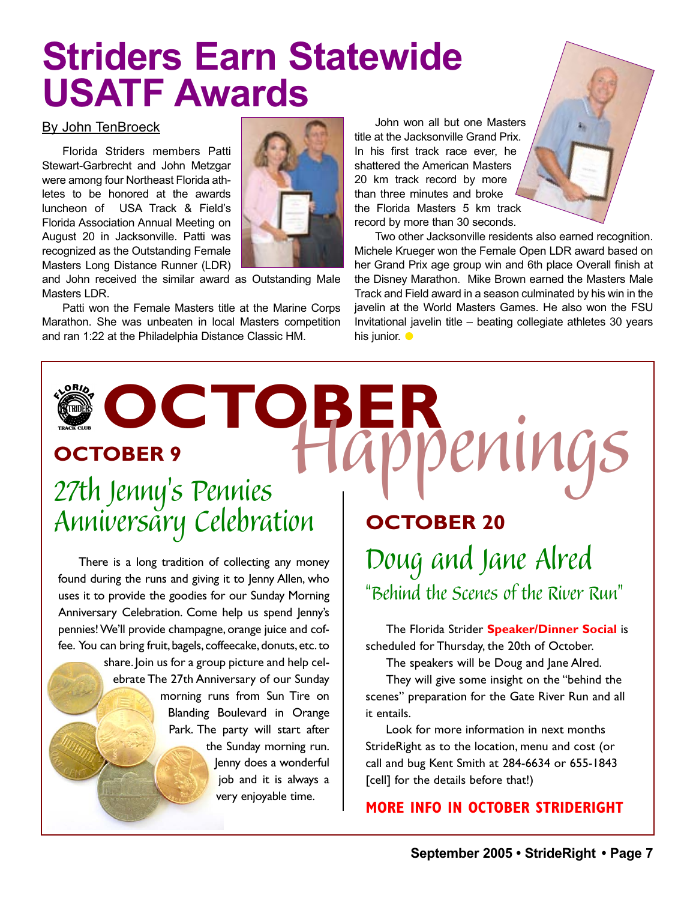## **Striders Earn Statewide USATF Awards**

#### By John TenBroeck

Florida Striders members Patti Stewart-Garbrecht and John Metzgar were among four Northeast Florida athletes to be honored at the awards luncheon of USA Track & Field's Florida Association Annual Meeting on August 20 in Jacksonville. Patti was recognized as the Outstanding Female Masters Long Distance Runner (LDR)



and John received the similar award as Outstanding Male Masters LDR.

Patti won the Female Masters title at the Marine Corps Marathon. She was unbeaten in local Masters competition and ran 1:22 at the Philadelphia Distance Classic HM.

John won all but one Masters title at the Jacksonville Grand Prix. In his first track race ever, he shattered the American Masters 20 km track record by more than three minutes and broke the Florida Masters 5 km track record by more than 30 seconds.

Two other Jacksonville residents also earned recognition. Michele Krueger won the Female Open LDR award based on her Grand Prix age group win and 6th place Overall finish at the Disney Marathon. Mike Brown earned the Masters Male Track and Field award in a season culminated by his win in the javelin at the World Masters Games. He also won the FSU Invitational javelin title – beating collegiate athletes 30 years his junior.  $\bullet$ 

**OCTOBER** *Happenings* **OCTOBER 9**

### *27th Jenny's Pennies Anniversary Celebration*

There is a long tradition of collecting any money found during the runs and giving it to Jenny Allen, who uses it to provide the goodies for our Sunday Morning Anniversary Celebration. Come help us spend Jenny's pennies! We'll provide champagne, orange juice and coffee. You can bring fruit, bagels, coffeecake, donuts, etc. to

share. Join us for a group picture and help celebrate The 27th Anniversary of our Sunday morning runs from Sun Tire on Blanding Boulevard in Orange Park. The party will start after the Sunday morning run. Jenny does a wonderful job and it is always a

very enjoyable time.

**OCTOBER 20** *Doug and Jane Alred "Behind the Scenes of the River Run"*

The Florida Strider **Speaker/Dinner Social** is scheduled for Thursday, the 20th of October.

The speakers will be Doug and Jane Alred.

They will give some insight on the "behind the scenes" preparation for the Gate River Run and all it entails.

Look for more information in next months StrideRight as to the location, menu and cost (or call and bug Kent Smith at 284-6634 or 655-1843 [cell] for the details before that!)

### **MORE INFO IN OCTOBER STRIDERIGHT**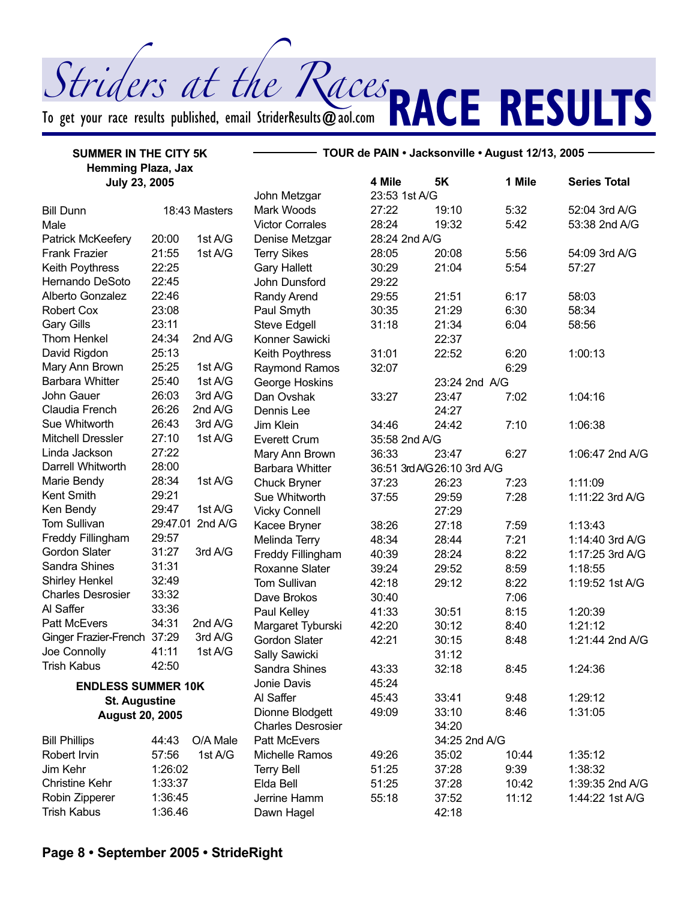To get your race results published, email StriderResults  $\bm{\varpi}$ aol.com

**SUURIS AL UNE NUCLES RACE RESULTS** 

| <b>SUMMER IN THE CITY 5K</b> |         | TOUR de PAIN · Jacksonville · August 12/13, 2005 - |                          |               |                             |        |                     |
|------------------------------|---------|----------------------------------------------------|--------------------------|---------------|-----------------------------|--------|---------------------|
| <b>Hemming Plaza, Jax</b>    |         |                                                    |                          |               |                             |        |                     |
| <b>July 23, 2005</b>         |         |                                                    |                          | 4 Mile        | 5K                          | 1 Mile | <b>Series Total</b> |
|                              |         |                                                    | John Metzgar             | 23:53 1st A/G |                             |        |                     |
| <b>Bill Dunn</b>             |         | 18:43 Masters                                      | Mark Woods               | 27:22         | 19:10                       | 5:32   | 52:04 3rd A/G       |
| Male                         |         |                                                    | <b>Victor Corrales</b>   | 28:24         | 19:32                       | 5:42   | 53:38 2nd A/G       |
| Patrick McKeefery            | 20:00   | 1st A/G                                            | Denise Metzgar           | 28:24 2nd A/G |                             |        |                     |
| <b>Frank Frazier</b>         | 21:55   | 1st A/G                                            | <b>Terry Sikes</b>       | 28:05         | 20:08                       | 5:56   | 54:09 3rd A/G       |
| Keith Poythress              | 22:25   |                                                    | <b>Gary Hallett</b>      | 30:29         | 21:04                       | 5:54   | 57:27               |
| Hernando DeSoto              | 22:45   |                                                    | John Dunsford            | 29:22         |                             |        |                     |
| Alberto Gonzalez             | 22:46   |                                                    | Randy Arend              | 29:55         | 21:51                       | 6:17   | 58:03               |
| <b>Robert Cox</b>            | 23:08   |                                                    | Paul Smyth               | 30:35         | 21:29                       | 6:30   | 58:34               |
| <b>Gary Gills</b>            | 23:11   |                                                    | <b>Steve Edgell</b>      | 31:18         | 21:34                       | 6:04   | 58:56               |
| <b>Thom Henkel</b>           | 24:34   | 2nd A/G                                            | Konner Sawicki           |               | 22:37                       |        |                     |
| David Rigdon                 | 25:13   |                                                    | Keith Poythress          | 31:01         | 22:52                       | 6:20   | 1:00:13             |
| Mary Ann Brown               | 25:25   | 1st A/G                                            | Raymond Ramos            | 32:07         |                             | 6:29   |                     |
| <b>Barbara Whitter</b>       | 25:40   | 1st A/G                                            | George Hoskins           |               | 23:24 2nd A/G               |        |                     |
| John Gauer                   | 26:03   | 3rd A/G                                            | Dan Ovshak               | 33:27         | 23:47                       | 7:02   | 1:04:16             |
| Claudia French               | 26:26   | 2nd A/G                                            | Dennis Lee               |               | 24:27                       |        |                     |
| Sue Whitworth                | 26:43   | 3rd A/G                                            | Jim Klein                | 34:46         | 24:42                       | 7:10   | 1:06:38             |
| <b>Mitchell Dressler</b>     | 27:10   | 1st A/G                                            | <b>Everett Crum</b>      | 35:58 2nd A/G |                             |        |                     |
| Linda Jackson                | 27:22   |                                                    | Mary Ann Brown           | 36:33         | 23:47                       | 6:27   | 1:06:47 2nd A/G     |
| Darrell Whitworth            | 28:00   |                                                    | <b>Barbara Whitter</b>   |               | 36:51 3rd A/G 26:10 3rd A/G |        |                     |
| Marie Bendy                  | 28:34   | 1st A/G                                            | <b>Chuck Bryner</b>      | 37:23         | 26:23                       | 7:23   | 1:11:09             |
| Kent Smith                   | 29:21   |                                                    | Sue Whitworth            | 37:55         | 29:59                       | 7:28   | 1:11:22 3rd A/G     |
| Ken Bendy                    | 29:47   | 1st A/G                                            | <b>Vicky Connell</b>     |               | 27:29                       |        |                     |
| Tom Sullivan                 |         | 29:47.01 2nd A/G                                   | Kacee Bryner             | 38:26         | 27:18                       | 7:59   | 1:13:43             |
| Freddy Fillingham            | 29:57   |                                                    | Melinda Terry            | 48:34         | 28:44                       | 7:21   | 1:14:40 3rd A/G     |
| Gordon Slater                | 31:27   | 3rd A/G                                            | Freddy Fillingham        | 40:39         | 28:24                       | 8:22   | 1:17:25 3rd A/G     |
| Sandra Shines                | 31:31   |                                                    | Roxanne Slater           | 39:24         | 29:52                       | 8:59   | 1:18:55             |
| Shirley Henkel               | 32:49   |                                                    | Tom Sullivan             | 42:18         | 29:12                       | 8:22   | 1:19:52 1st A/G     |
| <b>Charles Desrosier</b>     | 33:32   |                                                    | Dave Brokos              | 30:40         |                             | 7:06   |                     |
| Al Saffer                    | 33:36   |                                                    | Paul Kelley              | 41:33         | 30:51                       | 8:15   | 1:20:39             |
| Patt McEvers                 | 34:31   | 2nd A/G                                            | Margaret Tyburski        | 42:20         | 30:12                       | 8:40   | 1:21:12             |
| <b>Ginger Frazier-French</b> | 37:29   | 3rd A/G                                            | <b>Gordon Slater</b>     | 42:21         | 30:15                       | 8:48   | 1:21:44 2nd A/G     |
| Joe Connolly                 | 41:11   | 1st A/G                                            | Sally Sawicki            |               | 31:12                       |        |                     |
| Trish Kabus                  | 42:50   |                                                    | Sandra Shines            | 43:33         | 32:18                       | 8:45   | 1:24:36             |
| <b>ENDLESS SUMMER 10K</b>    |         |                                                    | Jonie Davis              | 45:24         |                             |        |                     |
| <b>St. Augustine</b>         |         |                                                    | Al Saffer                | 45:43         | 33:41                       | 9:48   | 1:29:12             |
| <b>August 20, 2005</b>       |         |                                                    | Dionne Blodgett          | 49:09         | 33:10                       | 8:46   | 1:31:05             |
|                              |         |                                                    | <b>Charles Desrosier</b> |               | 34:20                       |        |                     |
| <b>Bill Phillips</b>         | 44:43   | O/A Male                                           | <b>Patt McEvers</b>      |               | 34:25 2nd A/G               |        |                     |
| Robert Irvin                 | 57:56   | 1st A/G                                            | Michelle Ramos           | 49:26         | 35:02                       | 10:44  | 1:35:12             |
| Jim Kehr                     | 1:26:02 |                                                    | <b>Terry Bell</b>        | 51:25         | 37:28                       | 9:39   | 1:38:32             |
| <b>Christine Kehr</b>        | 1:33:37 |                                                    | Elda Bell                | 51:25         | 37:28                       | 10:42  | 1:39:35 2nd A/G     |
| Robin Zipperer               | 1:36:45 |                                                    | Jerrine Hamm             | 55:18         | 37:52                       | 11:12  | 1:44:22 1st A/G     |
| <b>Trish Kabus</b>           | 1:36.46 |                                                    | Dawn Hagel               |               | 42:18                       |        |                     |
|                              |         |                                                    |                          |               |                             |        |                     |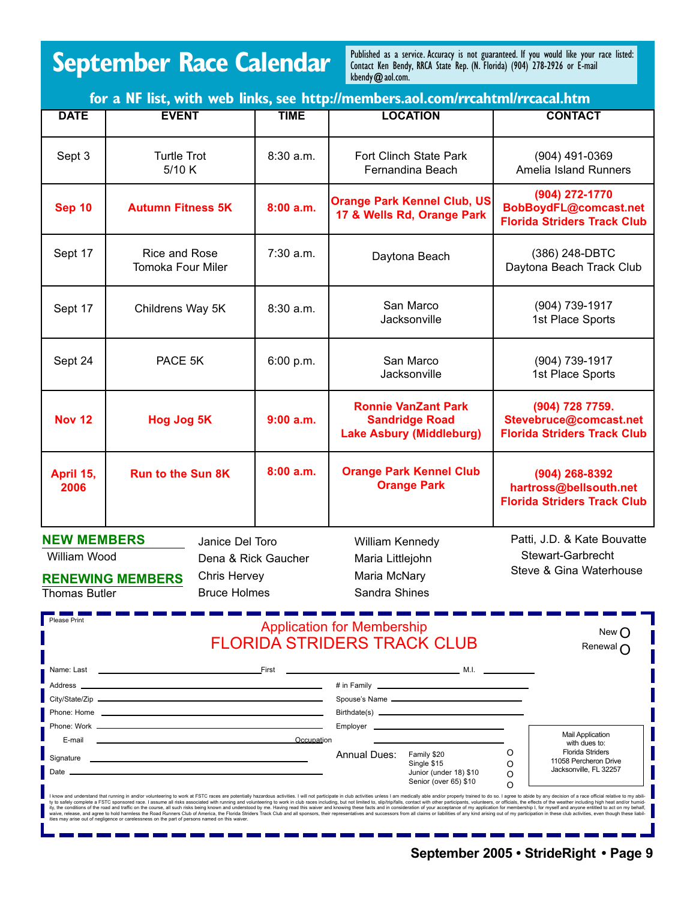### **September Race Calendar**

Published as a service. Accuracy is not guaranteed. If you would like your race listed: Contact Ken Bendy, RRCA State Rep. (N. Florida) (904) 278-2926 or E-mail kbendy@aol.com.

| for a NF list, with web links, see http://members.aol.com/rrcahtml/rrcacal.htm                                                                                         |                                                                                                                                      |                                                                      |                                                                                                                                                                                                                                                                                                                                                                                                                                                                                                                                                                                                                                                                                                                                                                                                                                                                                                                                     |                                                                                                                 |  |  |
|------------------------------------------------------------------------------------------------------------------------------------------------------------------------|--------------------------------------------------------------------------------------------------------------------------------------|----------------------------------------------------------------------|-------------------------------------------------------------------------------------------------------------------------------------------------------------------------------------------------------------------------------------------------------------------------------------------------------------------------------------------------------------------------------------------------------------------------------------------------------------------------------------------------------------------------------------------------------------------------------------------------------------------------------------------------------------------------------------------------------------------------------------------------------------------------------------------------------------------------------------------------------------------------------------------------------------------------------------|-----------------------------------------------------------------------------------------------------------------|--|--|
| <b>DATE</b>                                                                                                                                                            | <b>EVENT</b>                                                                                                                         | <b>TIME</b>                                                          | <b>LOCATION</b>                                                                                                                                                                                                                                                                                                                                                                                                                                                                                                                                                                                                                                                                                                                                                                                                                                                                                                                     | <b>CONTACT</b>                                                                                                  |  |  |
| Sept 3                                                                                                                                                                 | <b>Turtle Trot</b><br>5/10 K                                                                                                         | 8:30a.m.                                                             | Fort Clinch State Park<br>Fernandina Beach                                                                                                                                                                                                                                                                                                                                                                                                                                                                                                                                                                                                                                                                                                                                                                                                                                                                                          | (904) 491-0369<br>Amelia Island Runners                                                                         |  |  |
| <b>Sep 10</b>                                                                                                                                                          | <b>Autumn Fitness 5K</b>                                                                                                             | 8:00a.m.                                                             | <b>Orange Park Kennel Club, US</b><br>17 & Wells Rd, Orange Park                                                                                                                                                                                                                                                                                                                                                                                                                                                                                                                                                                                                                                                                                                                                                                                                                                                                    | (904) 272-1770<br>BobBoydFL@comcast.net<br><b>Florida Striders Track Club</b>                                   |  |  |
| Sept 17                                                                                                                                                                | <b>Rice and Rose</b><br><b>Tomoka Four Miler</b>                                                                                     | 7:30 a.m.                                                            | Daytona Beach                                                                                                                                                                                                                                                                                                                                                                                                                                                                                                                                                                                                                                                                                                                                                                                                                                                                                                                       | (386) 248-DBTC<br>Daytona Beach Track Club                                                                      |  |  |
| Sept 17                                                                                                                                                                | Childrens Way 5K                                                                                                                     | 8:30 a.m.                                                            | San Marco<br>Jacksonville                                                                                                                                                                                                                                                                                                                                                                                                                                                                                                                                                                                                                                                                                                                                                                                                                                                                                                           | (904) 739-1917<br>1st Place Sports                                                                              |  |  |
| Sept 24                                                                                                                                                                | PACE 5K                                                                                                                              | 6:00 p.m.                                                            | San Marco<br>Jacksonville                                                                                                                                                                                                                                                                                                                                                                                                                                                                                                                                                                                                                                                                                                                                                                                                                                                                                                           | (904) 739-1917<br>1st Place Sports                                                                              |  |  |
| <b>Nov 12</b>                                                                                                                                                          | Hog Jog 5K                                                                                                                           | 9:00 a.m.                                                            | <b>Ronnie VanZant Park</b><br><b>Sandridge Road</b><br><b>Lake Asbury (Middleburg)</b>                                                                                                                                                                                                                                                                                                                                                                                                                                                                                                                                                                                                                                                                                                                                                                                                                                              | (904) 728 7759.<br>Stevebruce@comcast.net<br><b>Florida Striders Track Club</b>                                 |  |  |
| April 15,<br>2006                                                                                                                                                      | 8:00a.m.<br><b>Run to the Sun 8K</b>                                                                                                 |                                                                      | <b>Orange Park Kennel Club</b><br><b>Orange Park</b>                                                                                                                                                                                                                                                                                                                                                                                                                                                                                                                                                                                                                                                                                                                                                                                                                                                                                | (904) 268-8392<br>hartross@bellsouth.net<br><b>Florida Striders Track Club</b>                                  |  |  |
| <b>NEW MEMBERS</b><br>Janice Del Toro<br>William Wood<br>Dena & Rick Gaucher<br>Chris Hervey<br><b>RENEWING MEMBERS</b><br><b>Bruce Holmes</b><br><b>Thomas Butler</b> |                                                                                                                                      | William Kennedy<br>Maria Littlejohn<br>Maria McNary<br>Sandra Shines | Patti, J.D. & Kate Bouvatte<br>Stewart-Garbrecht<br>Steve & Gina Waterhouse                                                                                                                                                                                                                                                                                                                                                                                                                                                                                                                                                                                                                                                                                                                                                                                                                                                         |                                                                                                                 |  |  |
| <b>Please Print</b>                                                                                                                                                    | <b>Application for Membership</b><br>New $( )$<br><b>FLORIDA STRIDERS TRACK CLUB</b><br>Renewal n                                    |                                                                      |                                                                                                                                                                                                                                                                                                                                                                                                                                                                                                                                                                                                                                                                                                                                                                                                                                                                                                                                     |                                                                                                                 |  |  |
| Name: Last<br>Address ___                                                                                                                                              | <u>First</u><br><u> 1989 - Johann Stein, marwolaethau a bhann an t-Amhain an t-Amhain an t-Amhain an t-Amhain an t-Amhain an t-A</u> |                                                                      | # in Family <b>Example 2018</b> The Second Second Second Second Second Second Second Second Second Second Second Second Second Second Second Second Second Second Second Second Second Second Second Second Second Second Second Se<br>Employer                                                                                                                                                                                                                                                                                                                                                                                                                                                                                                                                                                                                                                                                                     | <b>Mail Application</b>                                                                                         |  |  |
| E-mail<br>Date                                                                                                                                                         |                                                                                                                                      | Occupation                                                           | <b>Annual Dues:</b><br>Family \$20<br>Single \$15<br>Junior (under 18) \$10<br>Senior (over 65) \$10                                                                                                                                                                                                                                                                                                                                                                                                                                                                                                                                                                                                                                                                                                                                                                                                                                | with dues to:<br><b>Florida Striders</b><br>O<br>11058 Percheron Drive<br>O<br>Jacksonville, FL 32257<br>O<br>O |  |  |
|                                                                                                                                                                        | ities may arise out of negligence or carelessness on the part of persons named on this waiver.                                       |                                                                      | I know and understand that running in and/or volunteering to work at FSTC races are potentially hazardous activities. I will not participate in club activities unless I am medically able and/or properly trained to do so. I<br>ty to safely complete a FSTC sponsored race. I assume all risks associated with running and volunteering to work in club races including, but not limited to, slip/trip/falls, contact with other participants, volunteers, or<br>ity, the conditions of the road and traffic on the course, all such risks being known and understood by me. Having read this waiver and knowing these facts and in consideration of your acceptance of my application for memb<br>waive, release, and agree to hold harmless the Road Runners Club of America, the Florida Striders Track Club and all sponsors, their representatives and successors from all claims or liabilities of any kind arising out of |                                                                                                                 |  |  |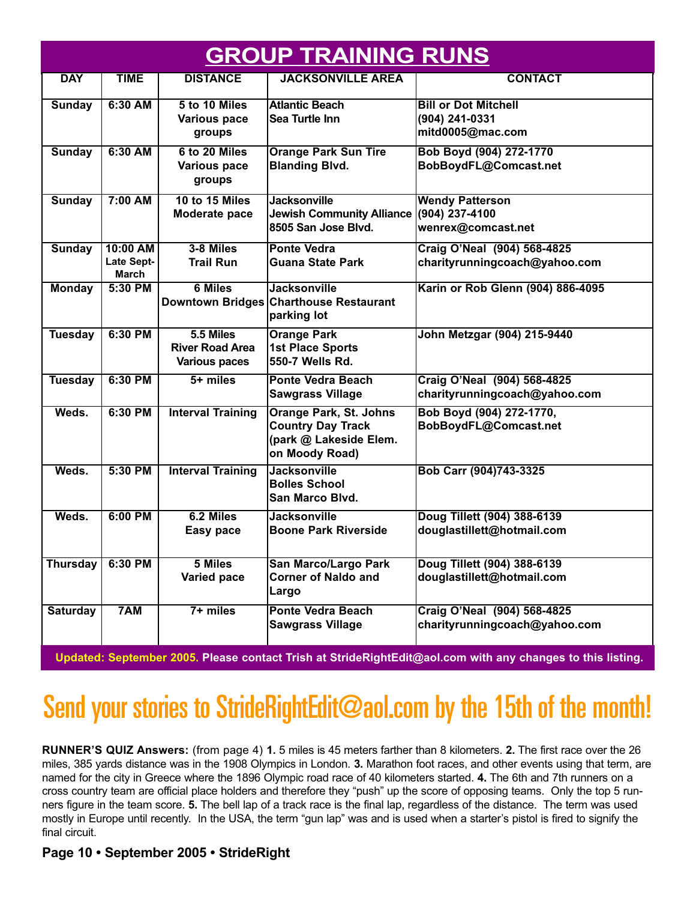| <b>GROUP TRAINING RUNS</b> |                                               |                                                             |                                                                                                       |                                                                   |  |
|----------------------------|-----------------------------------------------|-------------------------------------------------------------|-------------------------------------------------------------------------------------------------------|-------------------------------------------------------------------|--|
| <b>DAY</b>                 | <b>TIME</b>                                   | <b>DISTANCE</b>                                             | <b>JACKSONVILLE AREA</b>                                                                              | <b>CONTACT</b>                                                    |  |
| Sunday                     | 6:30 AM                                       | 5 to 10 Miles<br><b>Various pace</b><br>groups              | Atlantic Beach<br>Sea Turtle Inn                                                                      | <b>Bill or Dot Mitchell</b><br>(904) 241-0331<br>mitd0005@mac.com |  |
| <b>Sunday</b>              | 6:30 AM                                       | 6 to 20 Miles<br><b>Various pace</b><br>groups              | <b>Orange Park Sun Tire</b><br><b>Blanding Blvd.</b>                                                  | Bob Boyd (904) 272-1770<br>BobBoydFL@Comcast.net                  |  |
| <b>Sunday</b>              | 7:00 AM                                       | 10 to 15 Miles<br>Moderate pace                             | <b>Jacksonville</b><br>Jewish Community Alliance (904) 237-4100<br>8505 San Jose Blvd.                | <b>Wendy Patterson</b><br>wenrex@comcast.net                      |  |
| <b>Sunday</b>              | 10:00 AM<br><b>Late Sept-</b><br><b>March</b> | 3-8 Miles<br><b>Trail Run</b>                               | <b>Ponte Vedra</b><br><b>Guana State Park</b>                                                         | Craig O'Neal (904) 568-4825<br>charityrunningcoach@yahoo.com      |  |
| <b>Monday</b>              | 5:30 PM                                       | 6 Miles                                                     | Jacksonville<br>Downtown Bridges Charthouse Restaurant<br>parking lot                                 | Karin or Rob Glenn (904) 886-4095                                 |  |
| <b>Tuesday</b>             | 6:30 PM                                       | 5.5 Miles<br><b>River Road Area</b><br><b>Various paces</b> | <b>Orange Park</b><br>1st Place Sports<br>550-7 Wells Rd.                                             | John Metzgar (904) 215-9440                                       |  |
| <b>Tuesday</b>             | 6:30 PM                                       | $5 + miles$                                                 | <b>Ponte Vedra Beach</b><br><b>Sawgrass Village</b>                                                   | Craig O'Neal (904) 568-4825<br>charityrunningcoach@yahoo.com      |  |
| Weds.                      | 6:30 PM                                       | <b>Interval Training</b>                                    | <b>Orange Park, St. Johns</b><br><b>Country Day Track</b><br>(park @ Lakeside Elem.<br>on Moody Road) | Bob Boyd (904) 272-1770,<br>BobBoydFL@Comcast.net                 |  |
| Weds.                      | 5:30 PM                                       | <b>Interval Training</b>                                    | <b>Jacksonville</b><br><b>Bolles School</b><br><b>San Marco Blvd.</b>                                 | Bob Carr (904)743-3325                                            |  |
| Weds.                      | 6:00 PM                                       | 6.2 Miles<br>Easy pace                                      | <b>Jacksonville</b><br><b>Boone Park Riverside</b>                                                    | Doug Tillett (904) 388-6139<br>douglastillett@hotmail.com         |  |
| <b>Thursday</b>            | 6:30 PM                                       | 5 Miles<br>Varied pace                                      | San Marco/Largo Park<br><b>Corner of Naldo and</b><br>Largo                                           | Doug Tillett (904) 388-6139<br>douglastillett@hotmail.com         |  |
| <b>Saturday</b>            | 7AM                                           | $7+$ miles                                                  | <b>Ponte Vedra Beach</b><br><b>Sawgrass Village</b>                                                   | Craig O'Neal (904) 568-4825<br>charityrunningcoach@yahoo.com      |  |

**Updated: September 2005. Please contact Trish at StrideRightEdit@aol.com with any changes to this listing.**

### Send your stories to StrideRightEdit@aol.com by the 15th of the month!

**RUNNER'S QUIZ Answers:** (from page 4) **1.** 5 miles is 45 meters farther than 8 kilometers. **2.** The first race over the 26 miles, 385 yards distance was in the 1908 Olympics in London. **3.** Marathon foot races, and other events using that term, are named for the city in Greece where the 1896 Olympic road race of 40 kilometers started. **4.** The 6th and 7th runners on a cross country team are official place holders and therefore they "push" up the score of opposing teams. Only the top 5 runners figure in the team score. **5.** The bell lap of a track race is the final lap, regardless of the distance. The term was used mostly in Europe until recently. In the USA, the term "gun lap" was and is used when a starter's pistol is fired to signify the final circuit.

#### **Page 10 • September 2005 • StrideRight**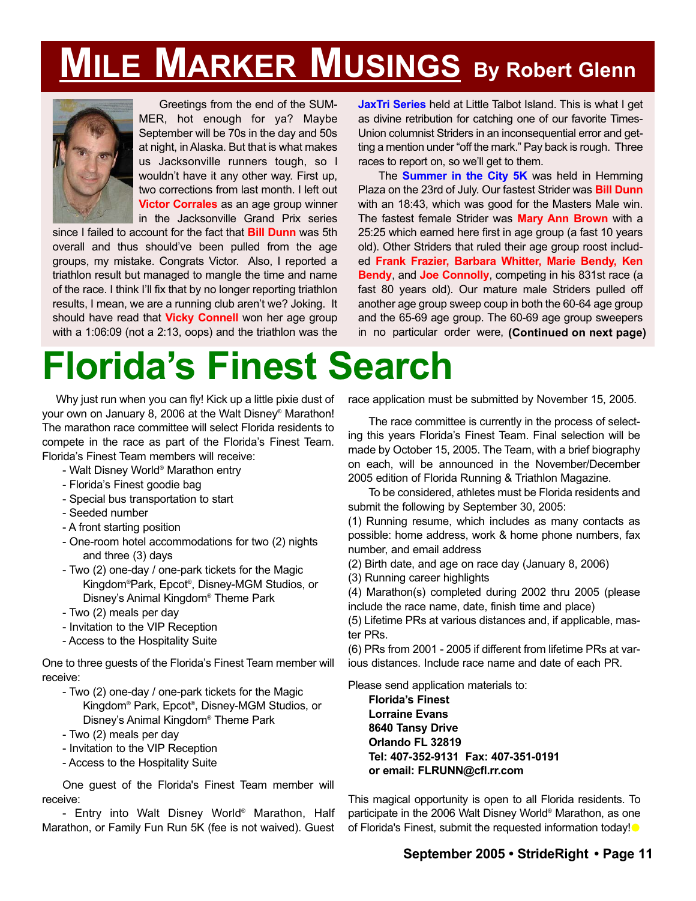## **MILE MARKER MUSINGS By Robert Glenn**



Greetings from the end of the SUM-MER, hot enough for ya? Maybe September will be 70s in the day and 50s at night, in Alaska. But that is what makes us Jacksonville runners tough, so I wouldn't have it any other way. First up, two corrections from last month. I left out **Victor Corrales** as an age group winner in the Jacksonville Grand Prix series

since I failed to account for the fact that **Bill Dunn** was 5th overall and thus should've been pulled from the age groups, my mistake. Congrats Victor. Also, I reported a triathlon result but managed to mangle the time and name of the race. I think I'll fix that by no longer reporting triathlon results, I mean, we are a running club aren't we? Joking. It should have read that **Vicky Connell** won her age group with a 1:06:09 (not a 2:13, oops) and the triathlon was the **JaxTri Series** held at Little Talbot Island. This is what I get as divine retribution for catching one of our favorite Times-Union columnist Striders in an inconsequential error and getting a mention under "off the mark." Pay back is rough. Three races to report on, so we'll get to them.

The **Summer in the City 5K** was held in Hemming Plaza on the 23rd of July. Our fastest Strider was **Bill Dunn** with an 18:43, which was good for the Masters Male win. The fastest female Strider was **Mary Ann Brown** with a 25:25 which earned here first in age group (a fast 10 years old). Other Striders that ruled their age group roost included **Frank Frazier, Barbara Whitter, Marie Bendy, Ken Bendy**, and **Joe Connolly**, competing in his 831st race (a fast 80 years old). Our mature male Striders pulled off another age group sweep coup in both the 60-64 age group and the 65-69 age group. The 60-69 age group sweepers in no particular order were, **(Continued on next page)**

# **Florida's Finest Search**

Why just run when you can fly! Kick up a little pixie dust of your own on January 8, 2006 at the Walt Disney® Marathon! The marathon race committee will select Florida residents to compete in the race as part of the Florida's Finest Team. Florida's Finest Team members will receive:

- Walt Disney World® Marathon entry
- Florida's Finest goodie bag
- Special bus transportation to start
- Seeded number
- A front starting position
- One-room hotel accommodations for two (2) nights and three (3) days
- Two (2) one-day / one-park tickets for the Magic Kingdom® Park, Epcot® , Disney-MGM Studios, or Disney's Animal Kingdom® Theme Park
- Two (2) meals per day
- Invitation to the VIP Reception
- Access to the Hospitality Suite

One to three guests of the Florida's Finest Team member will receive:

- Two (2) one-day / one-park tickets for the Magic Kingdom® Park, Epcot® , Disney-MGM Studios, or Disney's Animal Kingdom® Theme Park
- Two (2) meals per day
- Invitation to the VIP Reception
- Access to the Hospitality Suite

One guest of the Florida's Finest Team member will receive:

- Entry into Walt Disney World® Marathon, Half Marathon, or Family Fun Run 5K (fee is not waived). Guest race application must be submitted by November 15, 2005.

The race committee is currently in the process of selecting this years Florida's Finest Team. Final selection will be made by October 15, 2005. The Team, with a brief biography on each, will be announced in the November/December 2005 edition of Florida Running & Triathlon Magazine.

To be considered, athletes must be Florida residents and submit the following by September 30, 2005:

(1) Running resume, which includes as many contacts as possible: home address, work & home phone numbers, fax number, and email address

(2) Birth date, and age on race day (January 8, 2006)

(3) Running career highlights

(4) Marathon(s) completed during 2002 thru 2005 (please include the race name, date, finish time and place)

(5) Lifetime PRs at various distances and, if applicable, master PRs.

(6) PRs from 2001 - 2005 if different from lifetime PRs at various distances. Include race name and date of each PR.

Please send application materials to:

**Florida's Finest Lorraine Evans 8640 Tansy Drive Orlando FL 32819 Tel: 407-352-9131 Fax: 407-351-0191 or email: FLRUNN@cfl.rr.com**

This magical opportunity is open to all Florida residents. To participate in the 2006 Walt Disney World® Marathon, as one of Florida's Finest, submit the requested information today!<sup>®</sup>